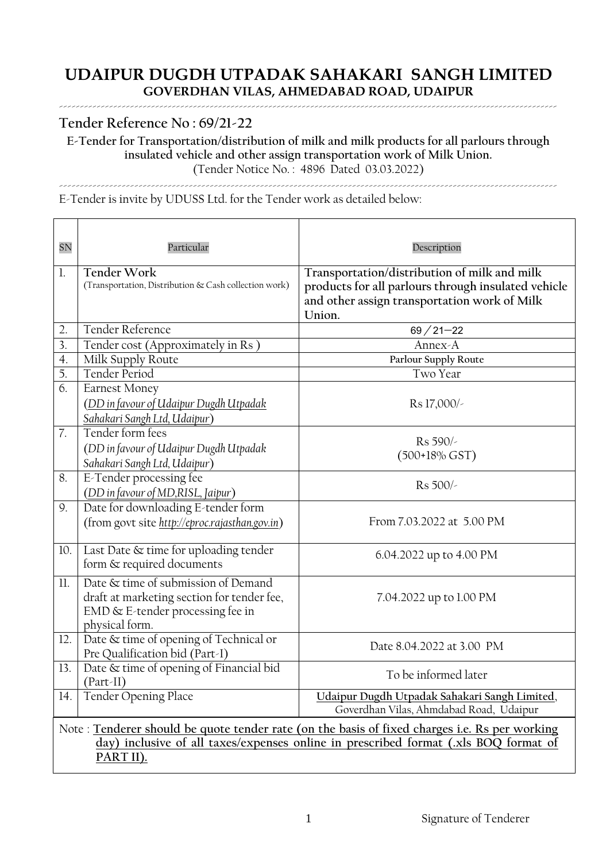# **Tender Reference No : 69/21-22**

**E-Tender for Transportation/distribution of milk and milk products for all parlours through insulated vehicle and other assign transportation work of Milk Union.**  (Tender Notice No. : 4896 Dated 03.03.2022)

-----------------------------------------------------------------------------------------------------------------------

E-Tender is invite by UDUSS Ltd. for the Tender work as detailed below:

| <b>SN</b>      | Particular                                                                                                                                                                                        | Description                                                                                                                                                   |  |  |  |
|----------------|---------------------------------------------------------------------------------------------------------------------------------------------------------------------------------------------------|---------------------------------------------------------------------------------------------------------------------------------------------------------------|--|--|--|
| $\mathbf{1}$ . | <b>Tender Work</b><br>(Transportation, Distribution & Cash collection work)                                                                                                                       | Transportation/distribution of milk and milk<br>products for all parlours through insulated vehicle<br>and other assign transportation work of Milk<br>Union. |  |  |  |
| 2.             | Tender Reference                                                                                                                                                                                  | $69/21 - 22$                                                                                                                                                  |  |  |  |
| 3.             | Tender cost (Approximately in Rs)                                                                                                                                                                 | Annex-A                                                                                                                                                       |  |  |  |
| 4.             | Milk Supply Route                                                                                                                                                                                 | Parlour Supply Route                                                                                                                                          |  |  |  |
| 5.             | <b>Tender Period</b>                                                                                                                                                                              | Two Year                                                                                                                                                      |  |  |  |
| 6.             | <b>Earnest Money</b><br>(DD in favour of Udaipur Dugdh Utpadak<br>Sahakari Sangh Ltd, Udaipur)                                                                                                    | Rs 17,000/                                                                                                                                                    |  |  |  |
| 7.             | Tender form fees<br>(DD in favour of Udaipur Dugdh Utpadak<br>Sahakari Sangh Ltd, Udaipur)                                                                                                        | Rs 590/-<br>$(500+18\% GST)$                                                                                                                                  |  |  |  |
| 8.             | E-Tender processing fee<br>(DD in favour of MD,RISL, Jaipur)                                                                                                                                      | Rs 500/-                                                                                                                                                      |  |  |  |
| 9.             | Date for downloading E-tender form<br>(from govt site http://eproc.rajasthan.gov.in)                                                                                                              | From 7.03.2022 at 5.00 PM                                                                                                                                     |  |  |  |
| 10.            | Last Date & time for uploading tender<br>form & required documents                                                                                                                                | 6.04.2022 up to 4.00 PM                                                                                                                                       |  |  |  |
| 11.            | Date & time of submission of Demand<br>draft at marketing section for tender fee,<br>EMD & E-tender processing fee in<br>physical form.                                                           | 7.04.2022 up to 1.00 PM                                                                                                                                       |  |  |  |
| 12.            | Date & time of opening of Technical or<br>Pre Qualification bid (Part-I)                                                                                                                          | Date 8.04.2022 at 3.00 PM                                                                                                                                     |  |  |  |
| 13.            | Date & time of opening of Financial bid<br>$(Part-II)$                                                                                                                                            | To be informed later                                                                                                                                          |  |  |  |
| 14.            | Tender Opening Place                                                                                                                                                                              | Udaipur Dugdh Utpadak Sahakari Sangh Limited,<br>Goverdhan Vilas, Ahmdabad Road, Udaipur                                                                      |  |  |  |
|                | Note: Tenderer should be quote tender rate (on the basis of fixed charges i.e. Rs per working<br>day) inclusive of all taxes/expenses online in prescribed format (xls BOQ format of<br>PART II). |                                                                                                                                                               |  |  |  |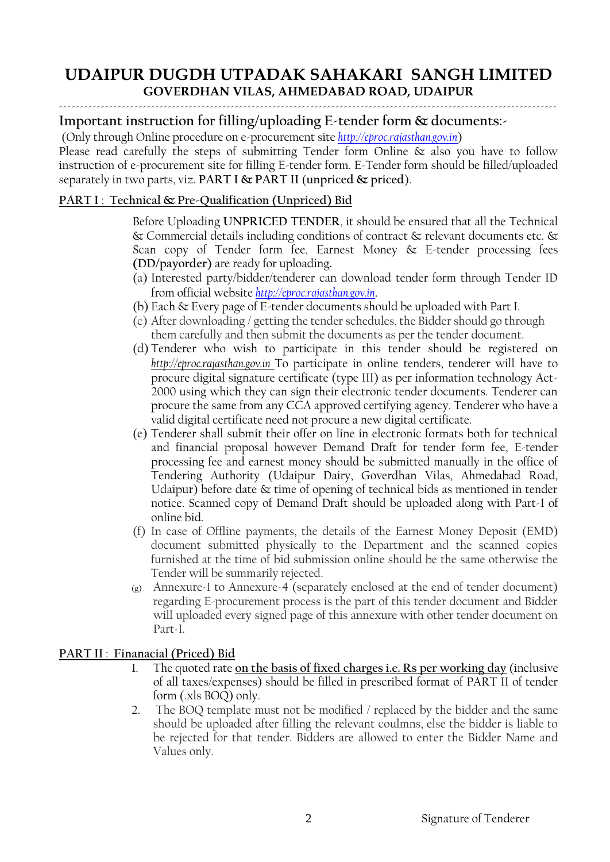# **Important instruction for filling/uploading E-tender form & documents:-**

(Only through Online procedure on e-procurement site *[http://eproc.rajasthan.gov.in](http://eproc.rajasthan.gov.in/)*)

Please read carefully the steps of submitting Tender form Online & also you have to follow instruction of e-procurement site for filling E-tender form. E-Tender form should be filled/uploaded separately in two parts, viz. **PART I & PART II** (**unpriced & priced**).

# **PART I** : **Technical & Pre-Qualification (Unpriced) Bid**

Before Uploading **UNPRICED TENDER**, it should be ensured that all the Technical & Commercial details including conditions of contract & relevant documents etc. & Scan copy of Tender form fee, Earnest Money & E-tender processing fees **(DD/payorder)** are ready for uploading**.**

- (a) Interested party/bidder/tenderer can download tender form through Tender ID from official website *[http://eproc.rajasthan.gov.in](http://eproc.rajasthan.gov.in/)*.
- (b) Each & Every page of E-tender documents should be uploaded with Part I.
- (c) After downloading / getting the tender schedules, the Bidder should go through them carefully and then submit the documents as per the tender document.
- (d) Tenderer who wish to participate in this tender should be registered on *http://eproc.rajasthan.gov.in* To participate in online tenders, tenderer will have to procure digital signature certificate (type III) as per information technology Act-2000 using which they can sign their electronic tender documents. Tenderer can procure the same from any CCA approved certifying agency. Tenderer who have a valid digital certificate need not procure a new digital certificate.
- (e) Tenderer shall submit their offer on line in electronic formats both for technical and financial proposal however Demand Draft for tender form fee, E-tender processing fee and earnest money should be submitted manually in the office of Tendering Authority (Udaipur Dairy, Goverdhan Vilas, Ahmedabad Road, Udaipur) before date & time of opening of technical bids as mentioned in tender notice. Scanned copy of Demand Draft should be uploaded along with Part-I of online bid.
- (f) In case of Offline payments, the details of the Earnest Money Deposit (EMD) document submitted physically to the Department and the scanned copies furnished at the time of bid submission online should be the same otherwise the Tender will be summarily rejected.
- (g) Annexure-1 to Annexure-4 (separately enclosed at the end of tender document) regarding E-procurement process is the part of this tender document and Bidder will uploaded every signed page of this annexure with other tender document on Part-I.

# **PART II** : **Finanacial (Priced) Bid**

- 1. The quoted rate **on the basis of fixed charges i.e. Rs per working day** (inclusive of all taxes/expenses) should be filled in prescribed format of PART II of tender form (.xls BOQ) only.
- 2. The BOQ template must not be modified / replaced by the bidder and the same should be uploaded after filling the relevant coulmns, else the bidder is liable to be rejected for that tender. Bidders are allowed to enter the Bidder Name and Values only.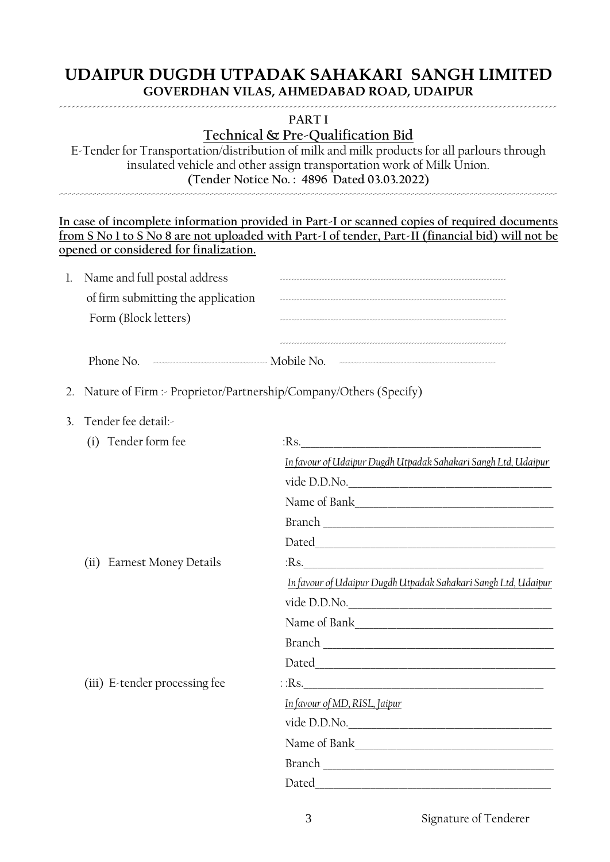### **PART I**

# **Technical & Pre-Qualification Bid**

E-Tender for Transportation/distribution of milk and milk products for all parlours through insulated vehicle and other assign transportation work of Milk Union. **(Tender Notice No. : 4896 Dated 03.03.2022)** -----------------------------------------------------------------------------------------------------------------------

|               | opened or considered for finalization.                            | In case of incomplete information provided in Part-I or scanned copies of required documents<br>from S No 1 to S No 8 are not uploaded with Part-I of tender, Part-II (financial bid) will not be |  |  |  |  |
|---------------|-------------------------------------------------------------------|---------------------------------------------------------------------------------------------------------------------------------------------------------------------------------------------------|--|--|--|--|
| 1.            | Name and full postal address                                      |                                                                                                                                                                                                   |  |  |  |  |
|               |                                                                   | of firm submitting the application <b>Constitution</b> and the state of firm submitting the application                                                                                           |  |  |  |  |
|               | Form (Block letters)                                              |                                                                                                                                                                                                   |  |  |  |  |
|               |                                                                   | Phone No. 2000 Commission Commission Mobile No. 2000 Commission Commission Commission                                                                                                             |  |  |  |  |
| 2.            | Nature of Firm :- Proprietor/Partnership/Company/Others (Specify) |                                                                                                                                                                                                   |  |  |  |  |
| $\mathcal{E}$ | Tender fee detail:-                                               |                                                                                                                                                                                                   |  |  |  |  |
|               | (i) Tender form fee                                               | $Rs$ .                                                                                                                                                                                            |  |  |  |  |
|               |                                                                   | <u>In favour of Udaipur Dugdh Utpadak Sahakari Sangh Ltd, Udaipur</u>                                                                                                                             |  |  |  |  |
|               |                                                                   |                                                                                                                                                                                                   |  |  |  |  |
|               |                                                                   |                                                                                                                                                                                                   |  |  |  |  |
|               |                                                                   |                                                                                                                                                                                                   |  |  |  |  |
|               |                                                                   |                                                                                                                                                                                                   |  |  |  |  |
|               | (ii) Earnest Money Details                                        | $Rs$ .                                                                                                                                                                                            |  |  |  |  |
|               |                                                                   | In favour of Udaipur Dugdh Utpadak Sahakari Sangh Ltd, Udaipur                                                                                                                                    |  |  |  |  |
|               |                                                                   | vide D.D.No.                                                                                                                                                                                      |  |  |  |  |
|               |                                                                   |                                                                                                                                                                                                   |  |  |  |  |
|               |                                                                   |                                                                                                                                                                                                   |  |  |  |  |
|               |                                                                   | Dated                                                                                                                                                                                             |  |  |  |  |
|               | (iii) E-tender processing fee                                     | $\therefore$ Rs.                                                                                                                                                                                  |  |  |  |  |
|               |                                                                   | In favour of MD, RISL, Jaipur                                                                                                                                                                     |  |  |  |  |
|               |                                                                   | vide D.D.No.                                                                                                                                                                                      |  |  |  |  |
|               |                                                                   |                                                                                                                                                                                                   |  |  |  |  |
|               |                                                                   |                                                                                                                                                                                                   |  |  |  |  |
|               |                                                                   |                                                                                                                                                                                                   |  |  |  |  |
|               |                                                                   |                                                                                                                                                                                                   |  |  |  |  |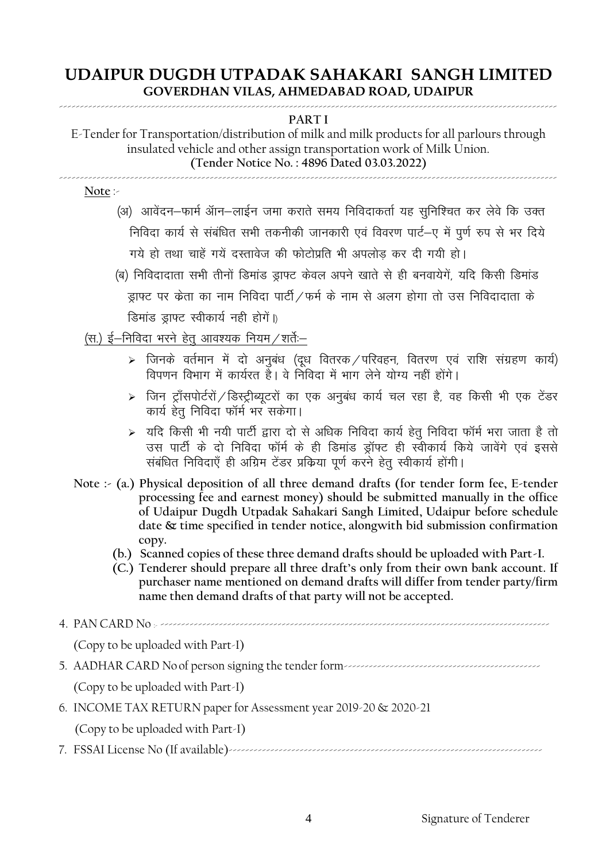#### ----------------------------------------------------------------------------------------------------------------------- **PART I**

E-Tender for Transportation/distribution of milk and milk products for all parlours through insulated vehicle and other assign transportation work of Milk Union. **(Tender Notice No. : 4896 Dated 03.03.2022)** -----------------------------------------------------------------------------------------------------------------------

**Note** :-

- (अ) आवेंदन–फार्म ऑन–लाईन जमा कराते समय निविदाकर्ता यह सुनिश्चित कर लेवे कि उक्त <u>निविदा कार्य से संबंधित सभी तकनीकी जानकारी एवं विवरण पार्ट—ए में पर्ण रूप से भर दिये</u> गये हो तथा चाहें गयें दस्तावेज की फोटोप्रति भी अपलोड कर दी गयी हो।
- <u>(ब) निविदादाता सभी तीनों डिमांड डाफ्ट केवल अपने खाते से ही बनवायेगें, यदि किसी डिमांड</u> ड्राफ्ट पर केता का नाम निविदा पार्टी /फर्म के नाम से अलग होगा तो उस निविदादाता के डिमांड ड्राफ्ट स्वीकार्य नही होगें।)

## (स.) ई $-$ निविदा भरने हेतु आवश्यक नियम $/$ शर्तेः $-$

- $\triangleright$  जिनके वर्तमान में दो अनुबंध (दूध वितरक $\diagup$ परिवहन, वितरण एवं राशि संग्रहण कार्य) विपणन विभाग में कार्यरत हैं। वे निविदा में भाग लेने योग्य नहीं होंगे।
- $\triangleright$  जिन ट्राँसपोर्टरों / डिस्ट्रीब्यूटरों का एक अनुबंध कार्य चल रहा है, वह किसी भी एक टेंडर कार्य हेत निविदा फॉर्म भर सकेगा।
- $\triangleright$  यदि किसी भी नयी पार्टी द्वारा दो से अधिक निविदा कार्य हेतू निविदा फॉर्म भरा जाता है तो उस पार्टी के दो निविदा फॉर्म के ही डिमांड ड्रॉफ्ट ही स्वीकार्य किये जावेंगे एवं इससे संबंधित निविदाएँ ही अग्रिम टेंडर प्रक्रिया पूर्ण करने हेतु स्वीकार्य होंगी।
- **Note :- (a.) Physical deposition of all three demand drafts (for tender form fee, E-tender processing fee and earnest money) should be submitted manually in the office of Udaipur Dugdh Utpadak Sahakari Sangh Limited, Udaipur before schedule date & time specified in tender notice, alongwith bid submission confirmation copy.**
	- **(b.) Scanned copies of these three demand drafts should be uploaded with Part-I.**
	- **(C.) Tenderer should prepare all three draft's only from their own bank account. If purchaser name mentioned on demand drafts will differ from tender party/firm name then demand drafts of that party will not be accepted.**

4. PAN CARD No :- --------------------------------------------------------------------------------------------- (Copy to be uploaded with Part-I) 5. AADHAR CARD No of person signing the tender form----------------------------------------------- (Copy to be uploaded with Part-I) 6. INCOME TAX RETURN paper for Assessment year 2019-20 & 2020-21 (Copy to be uploaded with Part-I) 7. FSSAI License No (If available)---------------------------------------------------------------------------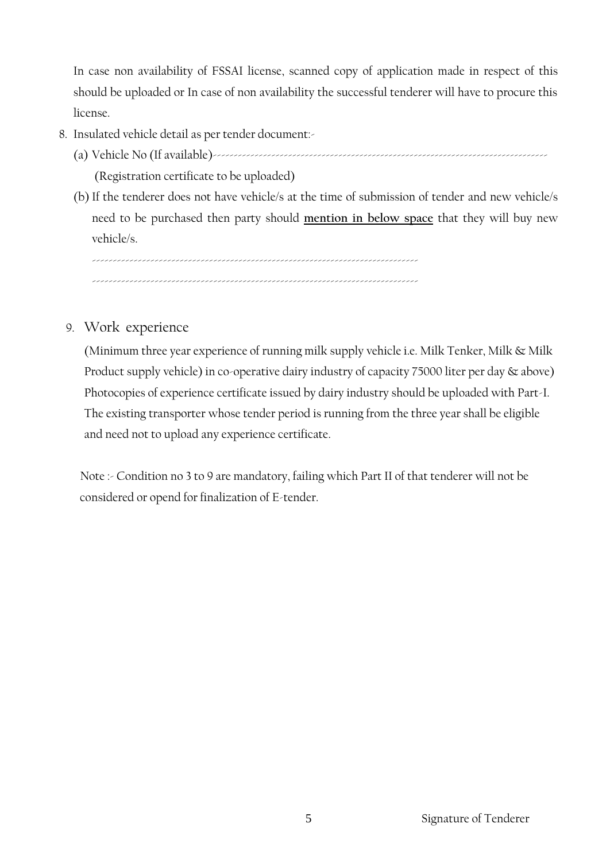In case non availability of FSSAI license, scanned copy of application made in respect of this should be uploaded or In case of non availability the successful tenderer will have to procure this license.

- 8. Insulated vehicle detail as per tender document:-
	- (a) Vehicle No (If available)--------------------------------------------------------------------------------

(Registration certificate to be uploaded)

(b) If the tenderer does not have vehicle/s at the time of submission of tender and new vehicle/s need to be purchased then party should **mention in below space** that they will buy new vehicle/s.

------------------------------------------------------------------------------ ------------------------------------------------------------------------------

9. Work experience

(Minimum three year experience of running milk supply vehicle i.e. Milk Tenker, Milk & Milk Product supply vehicle) in co-operative dairy industry of capacity 75000 liter per day & above) Photocopies of experience certificate issued by dairy industry should be uploaded with Part-I. The existing transporter whose tender period is running from the three year shall be eligible and need not to upload any experience certificate.

Note :- Condition no 3 to 9 are mandatory, failing which Part II of that tenderer will not be considered or opend for finalization of E-tender.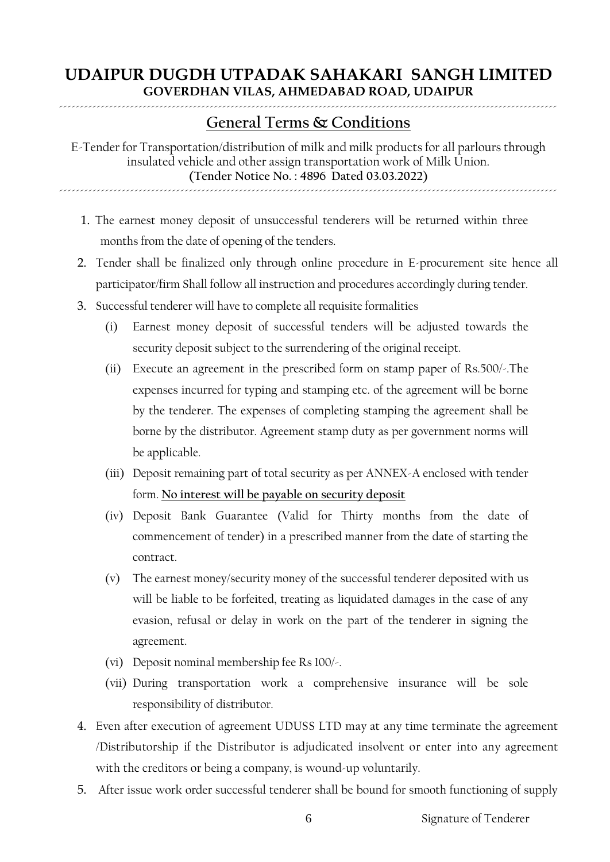# ----------------------------------------------------------------------------------------------------------------------- **General Terms & Conditions**

E-Tender for Transportation/distribution of milk and milk products for all parlours through insulated vehicle and other assign transportation work of Milk Union. **(Tender Notice No. : 4896 Dated 03.03.2022)**

-----------------------------------------------------------------------------------------------------------------------

- 1. The earnest money deposit of unsuccessful tenderers will be returned within three months from the date of opening of the tenders.
- 2. Tender shall be finalized only through online procedure in E-procurement site hence all participator/firm Shall follow all instruction and procedures accordingly during tender.
- 3. Successful tenderer will have to complete all requisite formalities
	- (i) Earnest money deposit of successful tenders will be adjusted towards the security deposit subject to the surrendering of the original receipt.
	- (ii) Execute an agreement in the prescribed form on stamp paper of Rs.500/-.The expenses incurred for typing and stamping etc. of the agreement will be borne by the tenderer. The expenses of completing stamping the agreement shall be borne by the distributor. Agreement stamp duty as per government norms will be applicable.
	- (iii) Deposit remaining part of total security as per ANNEX-A enclosed with tender form. **No interest will be payable on security deposit**
	- (iv) Deposit Bank Guarantee (Valid for Thirty months from the date of commencement of tender) in a prescribed manner from the date of starting the contract.
	- (v) The earnest money/security money of the successful tenderer deposited with us will be liable to be forfeited, treating as liquidated damages in the case of any evasion, refusal or delay in work on the part of the tenderer in signing the agreement.
	- (vi) Deposit nominal membership fee Rs 100/-.
	- (vii) During transportation work a comprehensive insurance will be sole responsibility of distributor.
- 4. Even after execution of agreement UDUSS LTD may at any time terminate the agreement /Distributorship if the Distributor is adjudicated insolvent or enter into any agreement with the creditors or being a company, is wound-up voluntarily.
- 5. After issue work order successful tenderer shall be bound for smooth functioning of supply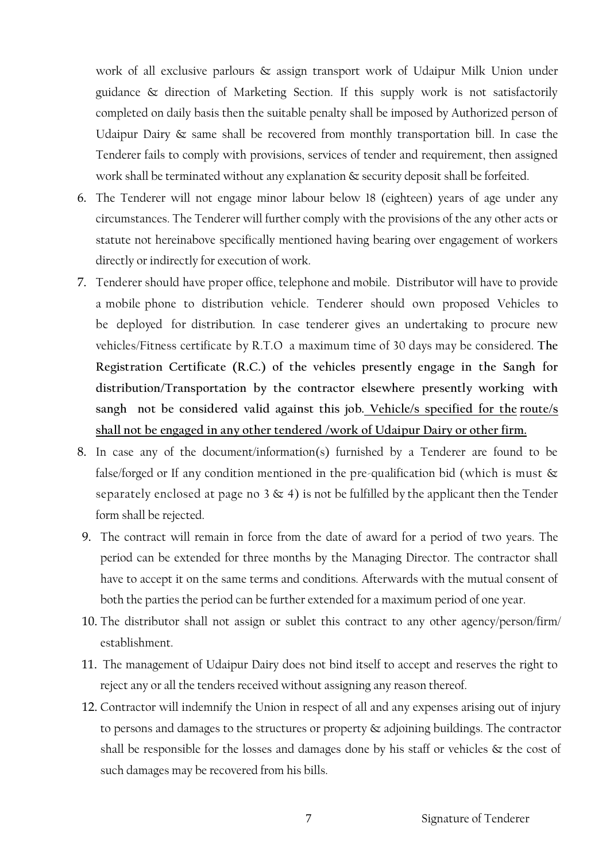work of all exclusive parlours & assign transport work of Udaipur Milk Union under guidance & direction of Marketing Section. If this supply work is not satisfactorily completed on daily basis then the suitable penalty shall be imposed by Authorized person of Udaipur Dairy & same shall be recovered from monthly transportation bill. In case the Tenderer fails to comply with provisions, services of tender and requirement, then assigned work shall be terminated without any explanation & security deposit shall be forfeited.

- 6. The Tenderer will not engage minor labour below 18 (eighteen) years of age under any circumstances. The Tenderer will further comply with the provisions of the any other acts or statute not hereinabove specifically mentioned having bearing over engagement of workers directly or indirectly for execution of work.
- 7. Tenderer should have proper office, telephone and mobile. Distributor will have to provide a mobile phone to distribution vehicle. Tenderer should own proposed Vehicles to be deployed for distribution. In case tenderer gives an undertaking to procure new vehicles/Fitness certificate by R.T.O a maximum time of 30 days may be considered. **The Registration Certificate (R.C.) of the vehicles presently engage in the Sangh for distribution/Transportation by the contractor elsewhere presently working with sangh not be considered valid against this job. Vehicle/s specified for the route/s shall not be engaged in any other tendered /work of Udaipur Dairy or other firm.**
- 8. In case any of the document/information(s) furnished by a Tenderer are found to be false/forged or If any condition mentioned in the pre-qualification bid (which is must & separately enclosed at page no 3  $\&$  4) is not be fulfilled by the applicant then the Tender form shall be rejected.
- 9. The contract will remain in force from the date of award for a period of two years. The period can be extended for three months by the Managing Director. The contractor shall have to accept it on the same terms and conditions. Afterwards with the mutual consent of both the parties the period can be further extended for a maximum period of one year.
- 10. The distributor shall not assign or sublet this contract to any other agency/person/firm/ establishment.
- 11. The management of Udaipur Dairy does not bind itself to accept and reserves the right to reject any or all the tenders received without assigning any reason thereof.
- 12. Contractor will indemnify the Union in respect of all and any expenses arising out of injury to persons and damages to the structures or property & adjoining buildings. The contractor shall be responsible for the losses and damages done by his staff or vehicles  $\&$  the cost of such damages may be recovered from his bills.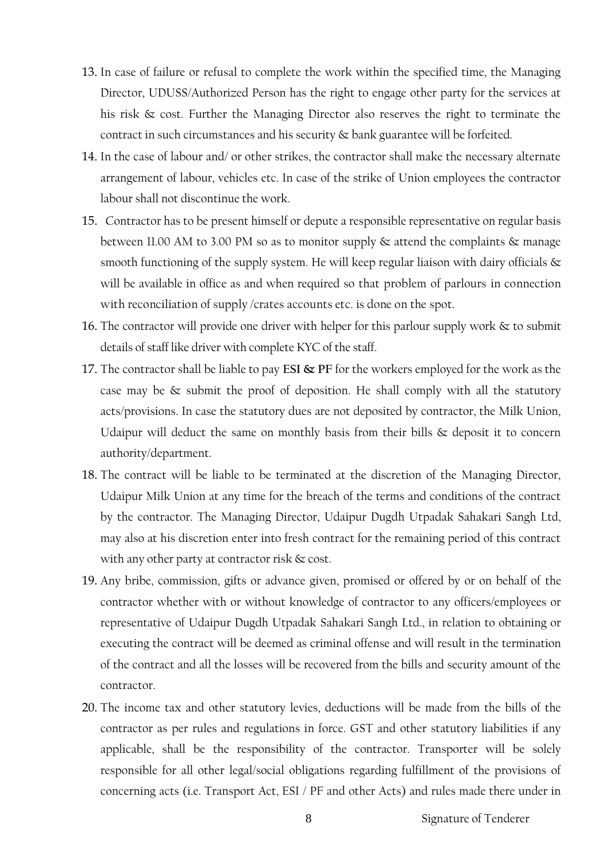- 13. In case of failure or refusal to complete the work within the specified time, the Managing Director, UDUSS/Authorized Person has the right to engage other party for the services at his risk & cost. Further the Managing Director also reserves the right to terminate the contract in such circumstances and his security & bank guarantee will be forfeited.
- 14. In the case of labour and/ or other strikes, the contractor shall make the necessary alternate arrangement of labour, vehicles etc. In case of the strike of Union employees the contractor labour shall not discontinue the work.
- 15. Contractor has to be present himself or depute a responsible representative on regular basis between 11.00 AM to 3.00 PM so as to monitor supply  $\&$  attend the complaints  $\&$  manage smooth functioning of the supply system. He will keep regular liaison with dairy officials & will be available in office as and when required so that problem of parlours in connection with reconciliation of supply /crates accounts etc. is done on the spot.
- 16. The contractor will provide one driver with helper for this parlour supply work  $\&$  to submit details of staff like driver with complete KYC of the staff.
- 17. The contractor shall be liable to pay **ESI & PF** for the workers employed for the work as the case may be & submit the proof of deposition. He shall comply with all the statutory acts/provisions. In case the statutory dues are not deposited by contractor, the Milk Union, Udaipur will deduct the same on monthly basis from their bills  $\&$  deposit it to concern authority/department.
- 18. The contract will be liable to be terminated at the discretion of the Managing Director, Udaipur Milk Union at any time for the breach of the terms and conditions of the contract by the contractor. The Managing Director, Udaipur Dugdh Utpadak Sahakari Sangh Ltd, may also at his discretion enter into fresh contract for the remaining period of this contract with any other party at contractor risk & cost.
- 19. Any bribe, commission, gifts or advance given, promised or offered by or on behalf of the contractor whether with or without knowledge of contractor to any officers/employees or representative of Udaipur Dugdh Utpadak Sahakari Sangh Ltd., in relation to obtaining or executing the contract will be deemed as criminal offense and will result in the termination of the contract and all the losses will be recovered from the bills and security amount of the contractor.
- 20. The income tax and other statutory levies, deductions will be made from the bills of the contractor as per rules and regulations in force. GST and other statutory liabilities if any applicable, shall be the responsibility of the contractor. Transporter will be solely responsible for all other legal/social obligations regarding fulfillment of the provisions of concerning acts (i.e. Transport Act, ESI / PF and other Acts) and rules made there under in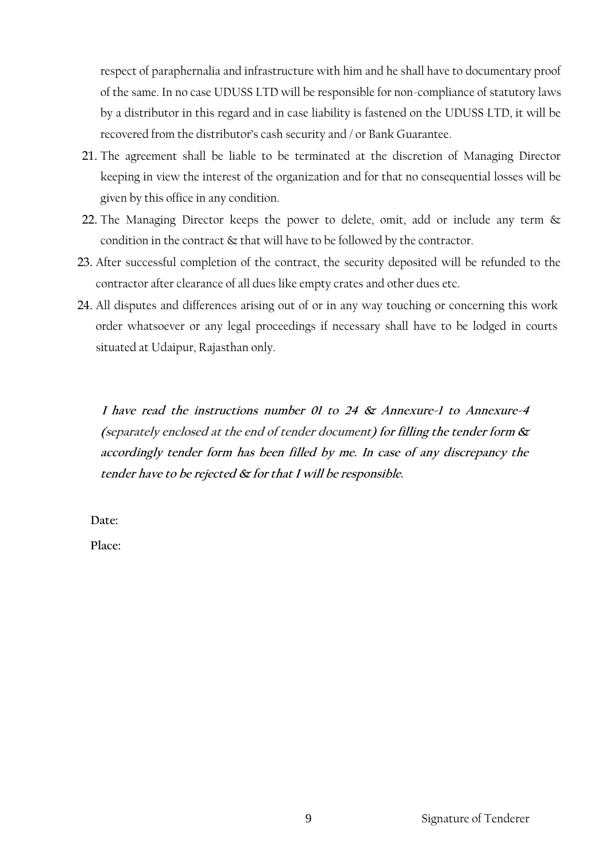respect of paraphernalia and infrastructure with him and he shall have to documentary proof of the same. In no case UDUSS LTD will be responsible for non-compliance of statutory laws by a distributor in this regard and in case liability is fastened on the UDUSS LTD, it will be recovered from the distributor's cash security and / or Bank Guarantee.

- 21. The agreement shall be liable to be terminated at the discretion of Managing Director keeping in view the interest of the organization and for that no consequential losses will be given by this office in any condition.
- 22. The Managing Director keeps the power to delete, omit, add or include any term & condition in the contract & that will have to be followed by the contractor.
- 23. After successful completion of the contract, the security deposited will be refunded to the contractor after clearance of all dues like empty crates and other dues etc.
- 24. All disputes and differences arising out of or in any way touching or concerning this work order whatsoever or any legal proceedings if necessary shall have to be lodged in courts situated at Udaipur, Rajasthan only.

 **I have read the instructions number 01 to 24 & Annexure-1 to Annexure-4 (separately enclosed at the end of tender document) for filling the tender form & accordingly tender form has been filled by me. In case of any discrepancy the tender have to be rejected & for that I will be responsible.** 

 **Date:**

 **Place:**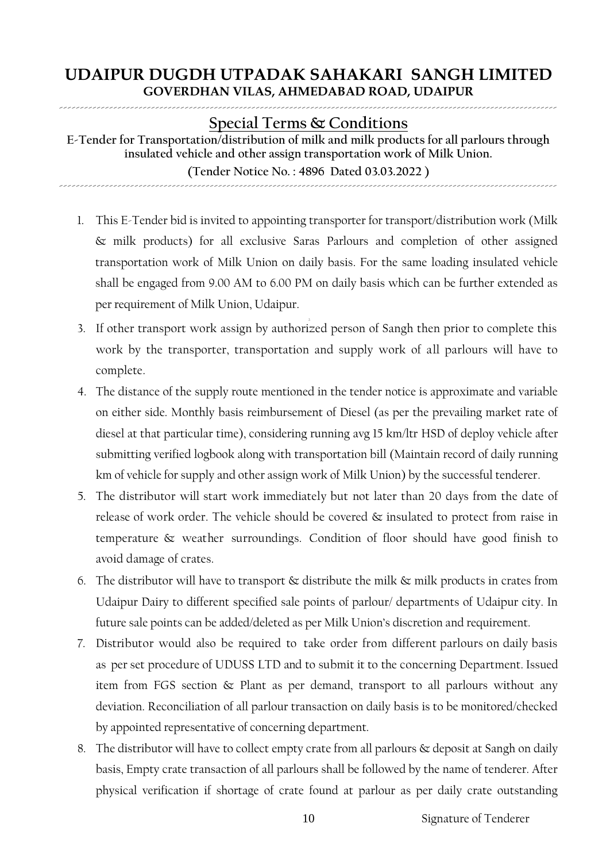#### ----------------------------------------------------------------------------------------------------------------------- **Special Terms & Conditions**

**E-Tender for Transportation/distribution of milk and milk products for all parlours through insulated vehicle and other assign transportation work of Milk Union. (Tender Notice No. : 4896 Dated 03.03.2022 )**

-----------------------------------------------------------------------------------------------------------------------

- 1. This E-Tender bid is invited to appointing transporter for transport/distribution work (Milk & milk products) for all exclusive Saras Parlours and completion of other assigned transportation work of Milk Union on daily basis. For the same loading insulated vehicle shall be engaged from 9.00 AM to 6.00 PM on daily basis which can be further extended as per requirement of Milk Union, Udaipur.
- 2. 3. If other transport work assign by authorized person of Sangh then prior to complete this work by the transporter, transportation and supply work of all parlours will have to complete.
- 4. The distance of the supply route mentioned in the tender notice is approximate and variable on either side. Monthly basis reimbursement of Diesel (as per the prevailing market rate of diesel at that particular time), considering running avg 15 km/ltr HSD of deploy vehicle after submitting verified logbook along with transportation bill (Maintain record of daily running km of vehicle for supply and other assign work of Milk Union) by the successful tenderer.
- 5. The distributor will start work immediately but not later than 20 days from the date of release of work order. The vehicle should be covered & insulated to protect from raise in temperature & weather surroundings. Condition of floor should have good finish to avoid damage of crates.
- 6. The distributor will have to transport  $\&$  distribute the milk  $\&$  milk products in crates from Udaipur Dairy to different specified sale points of parlour/ departments of Udaipur city. In future sale points can be added/deleted as per Milk Union's discretion and requirement.
- 7. Distributor would also be required to take order from different parlours on daily basis as per set procedure of UDUSS LTD and to submit it to the concerning Department. Issued item from FGS section & Plant as per demand, transport to all parlours without any deviation. Reconciliation of all parlour transaction on daily basis is to be monitored/checked by appointed representative of concerning department.
- 8. The distributor will have to collect empty crate from all parlours & deposit at Sangh on daily basis, Empty crate transaction of all parlours shall be followed by the name of tenderer. After physical verification if shortage of crate found at parlour as per daily crate outstanding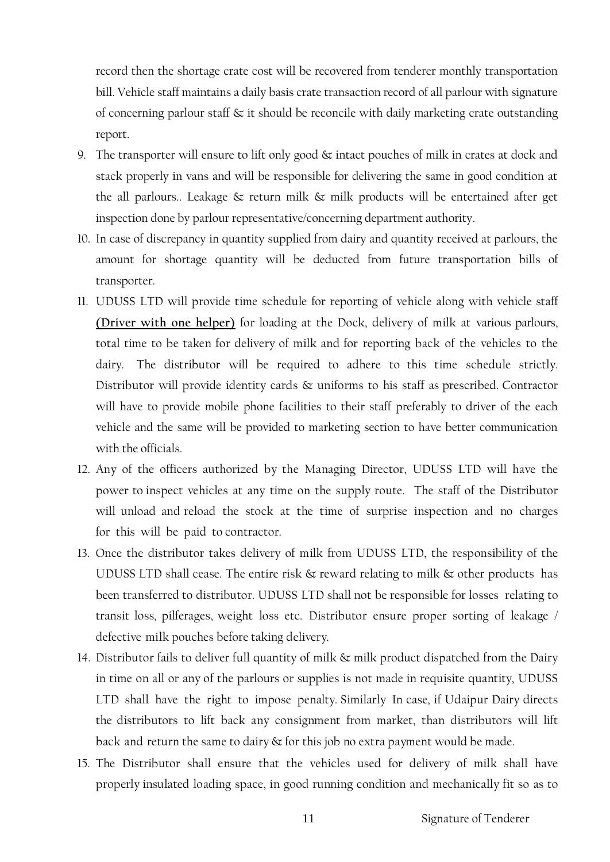record then the shortage crate cost will be recovered from tenderer monthly transportation bill. Vehicle staff maintains a daily basis crate transaction record of all parlour with signature of concerning parlour staff & it should be reconcile with daily marketing crate outstanding report.

- 9. The transporter will ensure to lift only good  $\&$  intact pouches of milk in crates at dock and stack properly in vans and will be responsible for delivering the same in good condition at the all parlours.. Leakage & return milk & milk products will be entertained after get inspection done by parlour representative/concerning department authority.
- 10. In case of discrepancy in quantity supplied from dairy and quantity received at parlours, the amount for shortage quantity will be deducted from future transportation bills of transporter.
- 11. UDUSS LTD will provide time schedule for reporting of vehicle along with vehicle staff **(Driver with one helper)** for loading at the Dock, delivery of milk at various parlours, total time to be taken for delivery of milk and for reporting back of the vehicles to the dairy. The distributor will be required to adhere to this time schedule strictly. Distributor will provide identity cards & uniforms to his staff as prescribed. Contractor will have to provide mobile phone facilities to their staff preferably to driver of the each vehicle and the same will be provided to marketing section to have better communication with the officials.
- 12. Any of the officers authorized by the Managing Director, UDUSS LTD will have the power to inspect vehicles at any time on the supply route. The staff of the Distributor will unload and reload the stock at the time of surprise inspection and no charges for this will be paid to contractor.
- 13. Once the distributor takes delivery of milk from UDUSS LTD, the responsibility of the UDUSS LTD shall cease. The entire risk & reward relating to milk & other products has been transferred to distributor. UDUSS LTD shall not be responsible for losses relating to transit loss, pilferages, weight loss etc. Distributor ensure proper sorting of leakage / defective milk pouches before taking delivery.
- 14. Distributor fails to deliver full quantity of milk & milk product dispatched from the Dairy in time on all or any of the parlours or supplies is not made in requisite quantity, UDUSS LTD shall have the right to impose penalty. Similarly In case, if Udaipur Dairy directs the distributors to lift back any consignment from market, than distributors will lift back and return the same to dairy & for this job no extra payment would be made.
- 15. The Distributor shall ensure that the vehicles used for delivery of milk shall have properly insulated loading space, in good running condition and mechanically fit so as to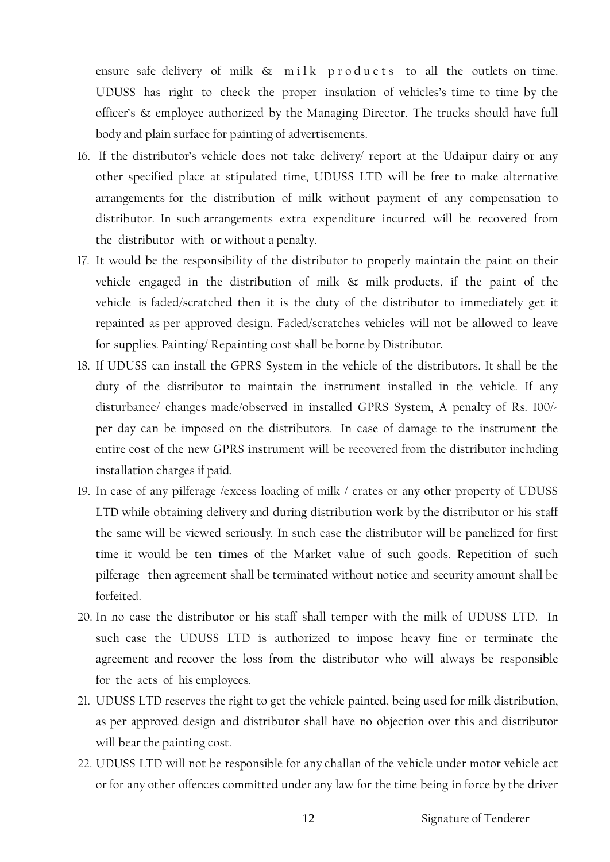ensure safe delivery of milk  $\&$  milk products to all the outlets on time. UDUSS has right to check the proper insulation of vehicles's time to time by the officer's & employee authorized by the Managing Director. The trucks should have full body and plain surface for painting of advertisements.

- 16. If the distributor's vehicle does not take delivery/ report at the Udaipur dairy or any other specified place at stipulated time, UDUSS LTD will be free to make alternative arrangements for the distribution of milk without payment of any compensation to distributor. In such arrangements extra expenditure incurred will be recovered from the distributor with or without a penalty.
- 17. It would be the responsibility of the distributor to properly maintain the paint on their vehicle engaged in the distribution of milk  $\&$  milk products, if the paint of the vehicle is faded/scratched then it is the duty of the distributor to immediately get it repainted as per approved design. Faded/scratches vehicles will not be allowed to leave for supplies. Painting/ Repainting cost shall be borne by Distributor**.**
- 18. If UDUSS can install the GPRS System in the vehicle of the distributors. It shall be the duty of the distributor to maintain the instrument installed in the vehicle. If any disturbance/ changes made/observed in installed GPRS System, A penalty of Rs. 100/ per day can be imposed on the distributors. In case of damage to the instrument the entire cost of the new GPRS instrument will be recovered from the distributor including installation charges if paid.
- 19. In case of any pilferage /excess loading of milk / crates or any other property of UDUSS LTD while obtaining delivery and during distribution work by the distributor or his staff the same will be viewed seriously. In such case the distributor will be panelized for first time it would be **ten times** of the Market value of such goods. Repetition of such pilferage then agreement shall be terminated without notice and security amount shall be forfeited.
- 20. In no case the distributor or his staff shall temper with the milk of UDUSS LTD. In such case the UDUSS LTD is authorized to impose heavy fine or terminate the agreement and recover the loss from the distributor who will always be responsible for the acts of his employees.
- 21. UDUSS LTD reserves the right to get the vehicle painted, being used for milk distribution, as per approved design and distributor shall have no objection over this and distributor will bear the painting cost.
- 22. UDUSS LTD will not be responsible for any challan of the vehicle under motor vehicle act or for any other offences committed under any law for the time being in force by the driver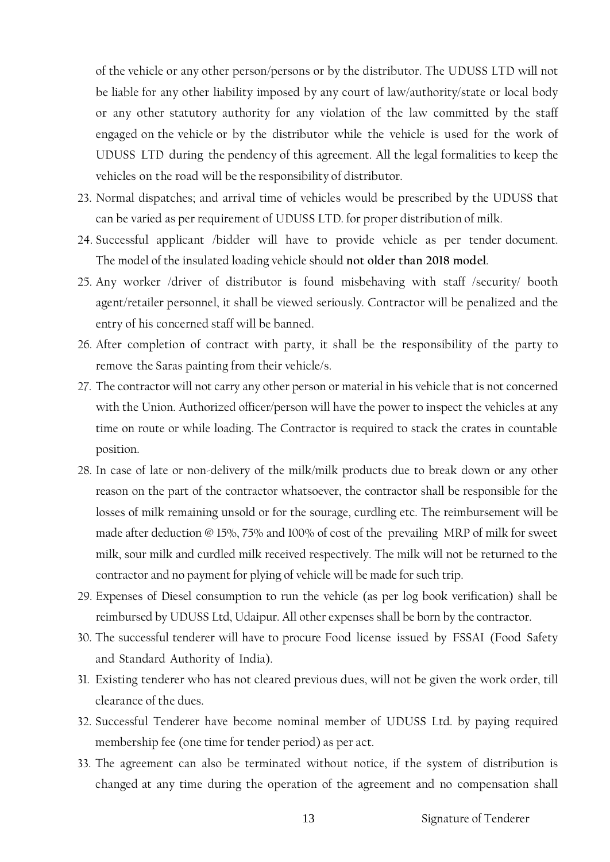of the vehicle or any other person/persons or by the distributor. The UDUSS LTD will not be liable for any other liability imposed by any court of law/authority/state or local body or any other statutory authority for any violation of the law committed by the staff engaged on the vehicle or by the distributor while the vehicle is used for the work of UDUSS LTD during the pendency of this agreement. All the legal formalities to keep the vehicles on the road will be the responsibility of distributor.

- 23. Normal dispatches; and arrival time of vehicles would be prescribed by the UDUSS that can be varied as per requirement of UDUSS LTD. for proper distribution of milk.
- 24. Successful applicant /bidder will have to provide vehicle as per tender document. The model of the insulated loading vehicle should **not older than 2018 model**.
- 25. Any worker /driver of distributor is found misbehaving with staff /security/ booth agent/retailer personnel, it shall be viewed seriously. Contractor will be penalized and the entry of his concerned staff will be banned.
- 26. After completion of contract with party, it shall be the responsibility of the party to remove the Saras painting from their vehicle/s.
- 27. The contractor will not carry any other person or material in his vehicle that is not concerned with the Union. Authorized officer/person will have the power to inspect the vehicles at any time on route or while loading. The Contractor is required to stack the crates in countable position.
- 28. In case of late or non-delivery of the milk/milk products due to break down or any other reason on the part of the contractor whatsoever, the contractor shall be responsible for the losses of milk remaining unsold or for the sourage, curdling etc. The reimbursement will be made after deduction @ 15%, 75% and 100% of cost of the prevailing MRP of milk for sweet milk, sour milk and curdled milk received respectively. The milk will not be returned to the contractor and no payment for plying of vehicle will be made for such trip.
- 29. Expenses of Diesel consumption to run the vehicle (as per log book verification) shall be reimbursed by UDUSS Ltd, Udaipur. All other expenses shall be born by the contractor.
- 30. The successful tenderer will have to procure Food license issued by FSSAI (Food Safety and Standard Authority of India).
- 31. Existing tenderer who has not cleared previous dues, will not be given the work order, till clearance of the dues.
- 32. Successful Tenderer have become nominal member of UDUSS Ltd. by paying required membership fee (one time for tender period) as per act.
- 33. The agreement can also be terminated without notice, if the system of distribution is changed at any time during the operation of the agreement and no compensation shall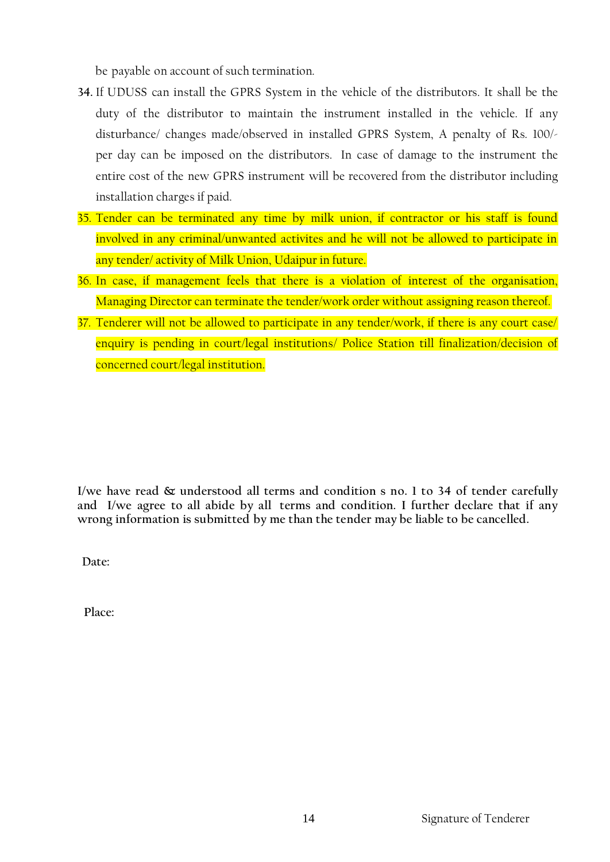be payable on account of such termination.

- **34.** If UDUSS can install the GPRS System in the vehicle of the distributors. It shall be the duty of the distributor to maintain the instrument installed in the vehicle. If any disturbance/ changes made/observed in installed GPRS System, A penalty of Rs. 100/ per day can be imposed on the distributors. In case of damage to the instrument the entire cost of the new GPRS instrument will be recovered from the distributor including installation charges if paid.
- 35. Tender can be terminated any time by milk union, if contractor or his staff is found involved in any criminal/unwanted activites and he will not be allowed to participate in any tender/ activity of Milk Union, Udaipur in future.
- 36. In case, if management feels that there is a violation of interest of the organisation, Managing Director can terminate the tender/work order without assigning reason thereof.
- 37. Tenderer will not be allowed to participate in any tender/work, if there is any court case/ enquiry is pending in court/legal institutions/ Police Station till finalization/decision of concerned court/legal institution.

**I/we have read & understood all terms and condition s no. 1 to 34 of tender carefully and I/we agree to all abide by all terms and condition. I further declare that if any wrong information is submitted by me than the tender may be liable to be cancelled.**

**Date:**

 **Place:**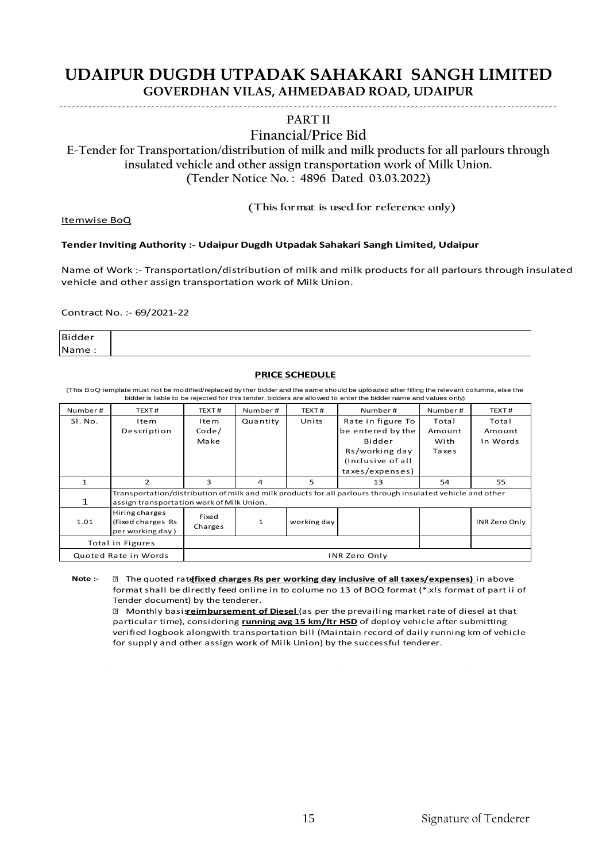#### ----------------------------------------------------------------------------------------------------------------------- **PART II**

#### **Financial/Price Bid**

E-Tender for Transportation/distribution of milk and milk products for all parlours through insulated vehicle and other assign transportation work of Milk Union.<br>
(Tender Notice No. : 4896 Dated 03.03.2022)<br>
(This format i **insulated vehicle and other assign transportation work of Milk Union. (Tender Notice No. : 4896 Dated 03.03.2022)**

Itemwise BoQ

#### **Tender Inviting Authority :- Udaipur Dugdh Utpadak Sahakari Sangh Limited, Udaipur**

Name of Work :- Transportation/distribution of milk and milk products for all parlours through insulated vehicle and other assign transportation work of Milk Union.

Contract No. :- 69/2021-22

Bidder Name :

#### **PRICE SCHEDULE**

(This BoQ template must not be modified/replaced by ther bidder and the same should be uploaded after filling the relevant columns, else the bidder is liable to be rejected for this tender, bidders are allowed to enter the bidder name and values only)

| Number# | TEXT#                                                   | TEXT#                | Number#                                                                                                                                                 | TEXT#       | Number#           | Number# | TEXT#         |
|---------|---------------------------------------------------------|----------------------|---------------------------------------------------------------------------------------------------------------------------------------------------------|-------------|-------------------|---------|---------------|
| SI. No. | Item                                                    | Item                 | Quantity                                                                                                                                                | Units       | Rate in figure To | Total   | Total         |
|         | Description                                             | Code/                |                                                                                                                                                         |             | be entered by the | Amount  | Amount        |
|         |                                                         | Make                 |                                                                                                                                                         |             | Bidder            | With    | In Words      |
|         |                                                         |                      |                                                                                                                                                         |             | Rs/working day    | Taxes   |               |
|         |                                                         |                      |                                                                                                                                                         |             | (Inclusive of all |         |               |
|         |                                                         |                      |                                                                                                                                                         |             | taxes/expenses)   |         |               |
|         | $\overline{2}$                                          | 3                    | 4                                                                                                                                                       | 5           | 13                | 54      | 55            |
| 1       |                                                         |                      | Transportation/distribution of milk and milk products for all parlours through insulated vehicle and other<br>assign transportation work of Milk Union. |             |                   |         |               |
| 1.01    | Hiring charges<br>(Fixed charges Rs<br>per working day) | Fixed<br>Charges     | 1                                                                                                                                                       | working day |                   |         | INR Zero Only |
|         | Total in Figures                                        |                      |                                                                                                                                                         |             |                   |         |               |
|         | Quoted Rate in Words                                    | <b>INR Zero Only</b> |                                                                                                                                                         |             |                   |         |               |

**Note :-** The quoted rate **(fixed charges Rs per working day inclusive of all taxes/expenses)** in above format shall be directly feed online in to colume no 13 of BOQ format (\*.xls format of part ii of Tender document) by the tenderer.

 Monthly basis **reimbursement of Diesel** (as per the prevailing market rate of diesel at that particular time), considering **running avg 15 km/ltr HSD** of deploy vehicle after submitting verified logbook alongwith transportation bill (Maintain record of daily running km of vehicle for supply and other assign work of Milk Union) by the successful tenderer.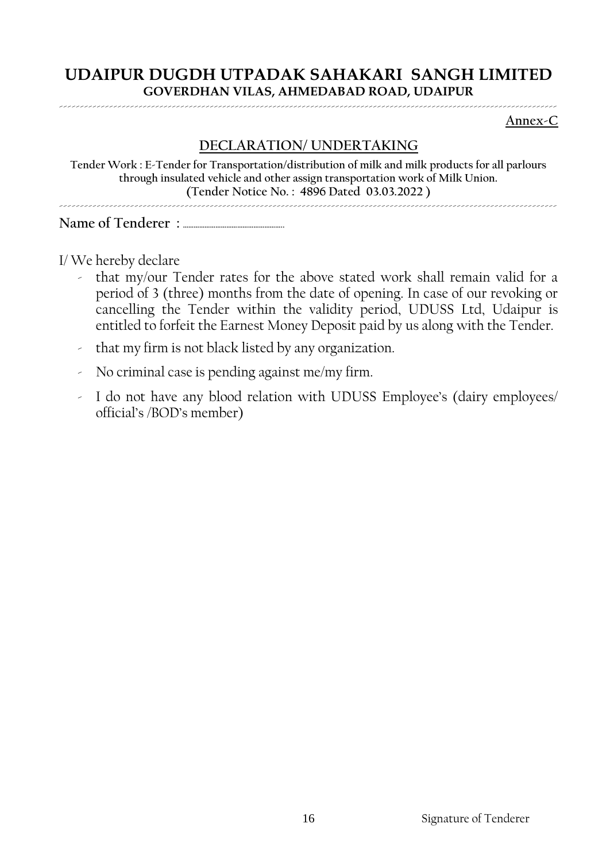**Annex-C**

# **DECLARATION/ UNDERTAKING**

**Tender Work : E-Tender for Transportation/distribution of milk and milk products for all parlours through insulated vehicle and other assign transportation work of Milk Union. (Tender Notice No. : 4896 Dated 03.03.2022 )**

-----------------------------------------------------------------------------------------------------------------------

**Name of Tenderer : ………………………………………………..**

I/ We hereby declare

- that my/our Tender rates for the above stated work shall remain valid for a period of 3 (three) months from the date of opening. In case of our revoking or cancelling the Tender within the validity period, UDUSS Ltd, Udaipur is entitled to forfeit the Earnest Money Deposit paid by us along with the Tender.
- that my firm is not black listed by any organization.
- No criminal case is pending against me/my firm.
- I do not have any blood relation with UDUSS Employee's (dairy employees/ official's /BOD's member)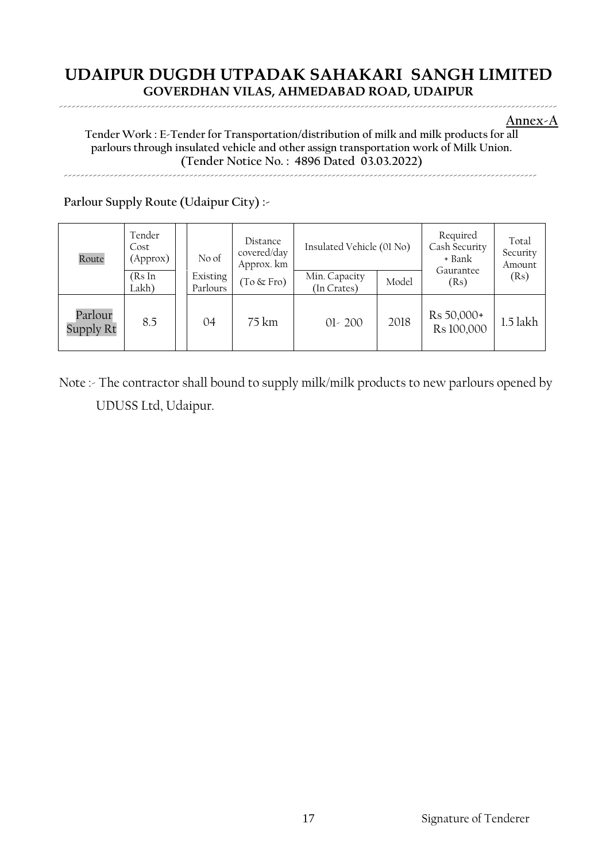**Annex-A**

#### **Tender Work : E-Tender for Transportation/distribution of milk and milk products for all parlours through insulated vehicle and other assign transportation work of Milk Union. (Tender Notice No. : 4896 Dated 03.03.2022)** -----------------------------------------------------------------------------------------------------------------

# **Parlour Supply Route (Udaipur City) :-**

| Route                | Tender<br>Cost<br>(Approx) | No of                | Distance<br>covered/day<br>Approx. km | Insulated Vehicle (01 No)    |       | Required<br>Cash Security<br>+ Bank<br>Gaurantee | Total<br>Security<br>Amount<br>(Rs)<br>1.5 lakh |
|----------------------|----------------------------|----------------------|---------------------------------------|------------------------------|-------|--------------------------------------------------|-------------------------------------------------|
|                      | (RsIn<br>Lakh)             | Existing<br>Parlours | $(To \& Fro)$                         | Min. Capacity<br>(In Crates) | Model | (Rs)                                             |                                                 |
| Parlour<br>Supply Rt | 8.5                        | 04                   | $75 \mathrm{km}$                      | $01 - 200$                   | 2018  | Rs 50,000+<br>Rs 100,000                         |                                                 |

Note :- The contractor shall bound to supply milk/milk products to new parlours opened by UDUSS Ltd, Udaipur.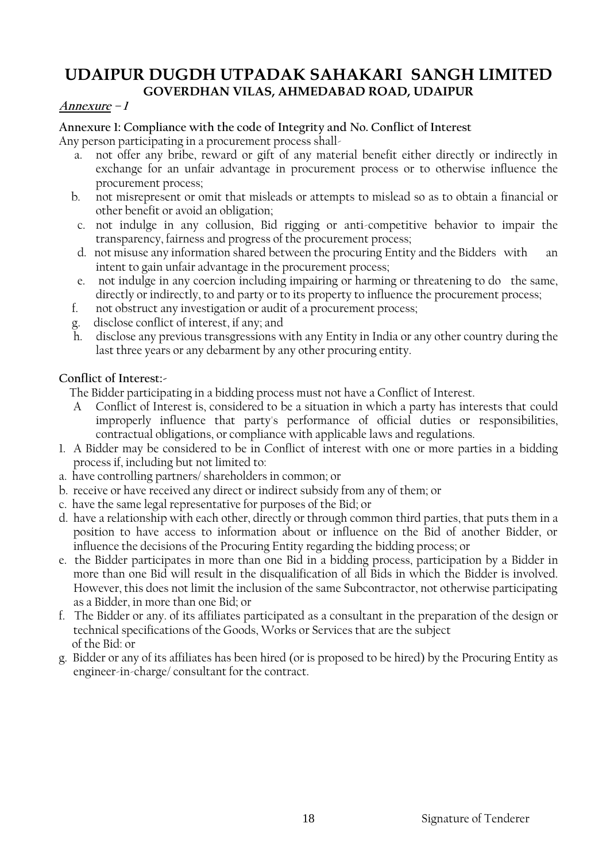### **Annexure – 1**

#### **Annexure 1: Compliance with the code of Integrity and No. Conflict of Interest** Any person participating in a procurement process shall-

- a. not offer any bribe, reward or gift of any material benefit either directly or indirectly in exchange for an unfair advantage in procurement process or to otherwise influence the
- procurement process; b. not misrepresent or omit that misleads or attempts to mislead so as to obtain a financial or other benefit or avoid an obligation;
- c. not indulge in any collusion, Bid rigging or anti-competitive behavior to impair the transparency, fairness and progress of the procurement process;
- d. not misuse any information shared between the procuring Entity and the Bidders with an intent to gain unfair advantage in the procurement process;
- e. not indulge in any coercion including impairing or harming or threatening to do the same, directly or indirectly, to and party or to its property to influence the procurement process;
- f. not obstruct any investigation or audit of a procurement process;
- g. disclose conflict of interest, if any; and
- h. disclose any previous transgressions with any Entity in India or any other country during the last three years or any debarment by any other procuring entity.

## **Conflict of Interest:-**

The Bidder participating in a bidding process must not have a Conflict of Interest.

- A Conflict of Interest is, considered to be a situation in which a party has interests that could improperly influence that party's performance of official duties or responsibilities, contractual obligations, or compliance with applicable laws and regulations.
- 1. A Bidder may be considered to be in Conflict of interest with one or more parties in a bidding process if, including but not limited to:
- a. have controlling partners/ shareholders in common; or
- b. receive or have received any direct or indirect subsidy from any of them; or
- c. have the same legal representative for purposes of the Bid; or
- d. have a relationship with each other, directly or through common third parties, that puts them in a position to have access to information about or influence on the Bid of another Bidder, or influence the decisions of the Procuring Entity regarding the bidding process; or
- e. the Bidder participates in more than one Bid in a bidding process, participation by a Bidder in more than one Bid will result in the disqualification of all Bids in which the Bidder is involved. However, this does not limit the inclusion of the same Subcontractor, not otherwise participating as a Bidder, in more than one Bid; or
- f. The Bidder or any. of its affiliates participated as a consultant in the preparation of the design or technical specifications of the Goods, Works or Services that are the subject of the Bid: or
- g. Bidder or any of its affiliates has been hired (or is proposed to be hired) by the Procuring Entity as engineer-in-charge/ consultant for the contract.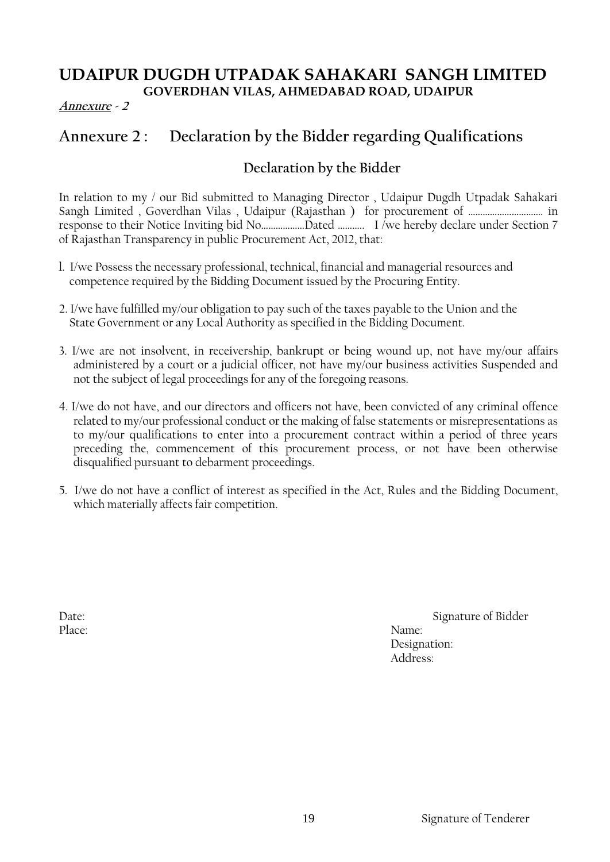## **Annexure - 2**

# **Annexure 2 : Declaration by the Bidder regarding Qualifications**

# **Declaration by the Bidder**

In relation to my / our Bid submitted to Managing Director , Udaipur Dugdh Utpadak Sahakari Sangh Limited , Goverdhan Vilas , Udaipur (Rajasthan ) for procurement of …………………………. in response to their Notice Inviting bid No………………Dated ……….. I /we hereby declare under Section 7 of Rajasthan Transparency in public Procurement Act, 2012, that:

- l. I/we Possess the necessary professional, technical, financial and managerial resources and competence required by the Bidding Document issued by the Procuring Entity.
- 2. I/we have fulfilled my/our obligation to pay such of the taxes payable to the Union and the State Government or any Local Authority as specified in the Bidding Document.
- 3. I/we are not insolvent, in receivership, bankrupt or being wound up, not have my/our affairs administered by a court or a judicial officer, not have my/our business activities Suspended and not the subject of legal proceedings for any of the foregoing reasons.
- 4. I/we do not have, and our directors and officers not have, been convicted of any criminal offence related to my/our professional conduct or the making of false statements or misrepresentations as to my/our qualifications to enter into a procurement contract within a period of three years preceding the, commencement of this procurement process, or not have been otherwise disqualified pursuant to debarment proceedings.
- 5. I/we do not have a conflict of interest as specified in the Act, Rules and the Bidding Document, which materially affects fair competition.

Place: Name:

Date: Signature of Bidder Designation: Address: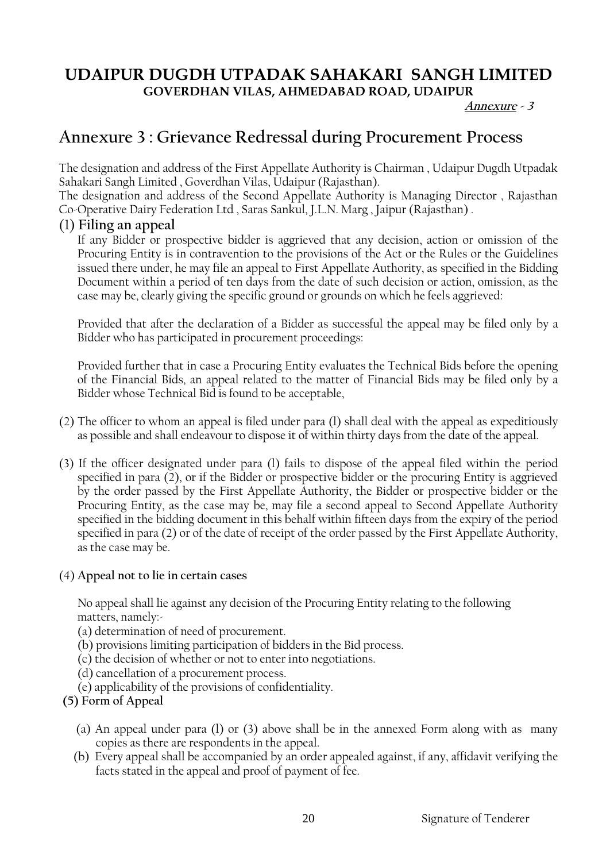**Annexure - <sup>3</sup>** 

# **Annexure 3 : Grievance Redressal during Procurement Process**

The designation and address of the First Appellate Authority is Chairman , Udaipur Dugdh Utpadak Sahakari Sangh Limited , Goverdhan Vilas, Udaipur (Rajasthan).

The designation and address of the Second Appellate Authority is Managing Director , Rajasthan Co-Operative Dairy Federation Ltd , Saras Sankul, J.L.N. Marg , Jaipur (Rajasthan) .

# (1) **Filing an appeal**

If any Bidder or prospective bidder is aggrieved that any decision, action or omission of the Procuring Entity is in contravention to the provisions of the Act or the Rules or the Guidelines issued there under, he may file an appeal to First Appellate Authority, as specified in the Bidding Document within a period of ten days from the date of such decision or action, omission, as the case may be, clearly giving the specific ground or grounds on which he feels aggrieved:

Provided that after the declaration of a Bidder as successful the appeal may be filed only by a Bidder who has participated in procurement proceedings:

Provided further that in case a Procuring Entity evaluates the Technical Bids before the opening of the Financial Bids, an appeal related to the matter of Financial Bids may be filed only by a Bidder whose Technical Bid is found to be acceptable,

- (2) The officer to whom an appeal is filed under para (l) shall deal with the appeal as expeditiously as possible and shall endeavour to dispose it of within thirty days from the date of the appeal.
- (3) If the officer designated under para (l) fails to dispose of the appeal filed within the period specified in para (2), or if the Bidder or prospective bidder or the procuring Entity is aggrieved by the order passed by the First Appellate Authority, the Bidder or prospective bidder or the Procuring Entity, as the case may be, may file a second appeal to Second Appellate Authority specified in the bidding document in this behalf within fifteen days from the expiry of the period specified in para (2) or of the date of receipt of the order passed by the First Appellate Authority, as the case may be.
- (4) **Appeal not to lie in certain cases**

No appeal shall lie against any decision of the Procuring Entity relating to the following matters, namely:-

- (a) determination of need of procurement.
- (b) provisions limiting participation of bidders in the Bid process.
- (c) the decision of whether or not to enter into negotiations.
- (d) cancellation of a procurement process.
- (e) applicability of the provisions of confidentiality.

### **(5) Form of Appeal**

- (a) An appeal under para (l) or (3) above shall be in the annexed Form along with as many copies as there are respondents in the appeal.
- (b) Every appeal shall be accompanied by an order appealed against, if any, affidavit verifying the facts stated in the appeal and proof of payment of fee.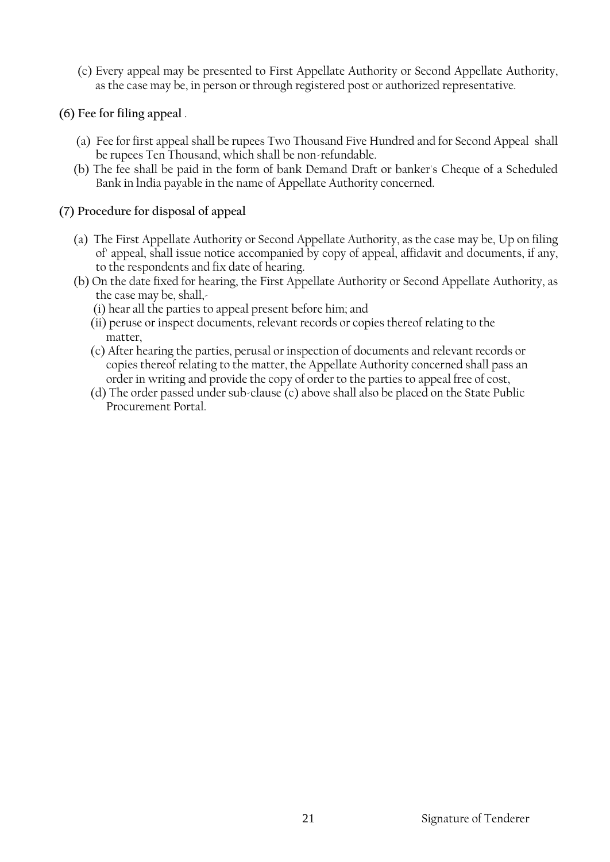- (c) Every appeal may be presented to First Appellate Authority or Second Appellate Authority, as the case may be, in person or through registered post or authorized representative.
- **(6) Fee for filing appeal** .
	- (a) Fee for first appeal shall be rupees Two Thousand Five Hundred and for Second Appeal shall be rupees Ten Thousand, which shall be non-refundable.
	- (b) The fee shall be paid in the form of bank Demand Draft or banker's Cheque of a Scheduled Bank in lndia payable in the name of Appellate Authority concerned.

## **(7) Procedure for disposal of appeal**

- (a) The First Appellate Authority or Second Appellate Authority, as the case may be, Up on filing of' appeal, shall issue notice accompanied by copy of appeal, affidavit and documents, if any, to the respondents and fix date of hearing.
- (b) On the date fixed for hearing, the First Appellate Authority or Second Appellate Authority, as the case may be, shall,-
	- (i) hear all the parties to appeal present before him; and
	- (ii) peruse or inspect documents, relevant records or copies thereof relating to the matter,
	- (c) After hearing the parties, perusal or inspection of documents and relevant records or copies thereof relating to the matter, the Appellate Authority concerned shall pass an order in writing and provide the copy of order to the parties to appeal free of cost,
	- (d) The order passed under sub-clause (c) above shall also be placed on the State Public Procurement Portal.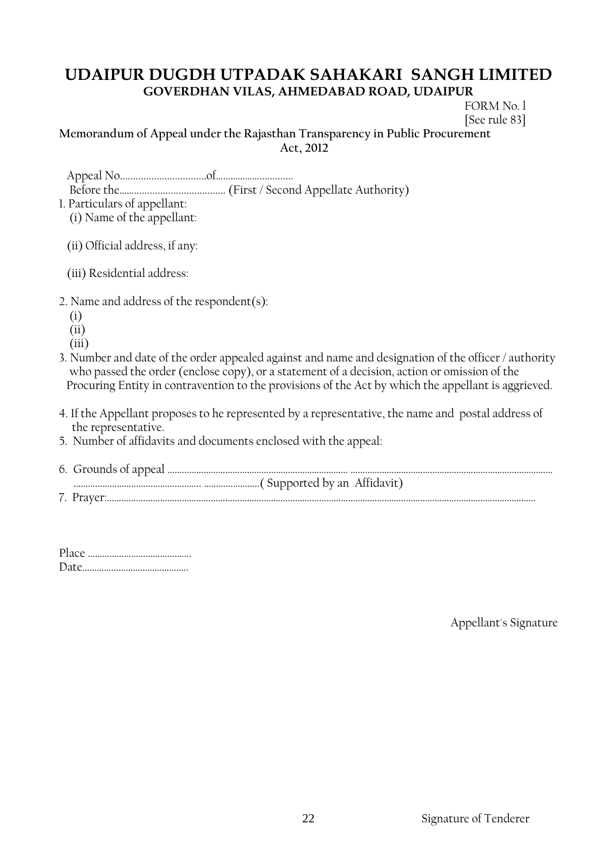FORM No. l [See rule 83]

#### **Memorandum of Appeal under the Rajasthan Transparency in Public Procurement Act, 2012**

1. Particulars of appellant: (i) Name of the appellant:

(ii) Official address, if any:

(iii) Residential address:

- 2. Name and address of the respondent(s):
	- (i)
	- (ii)
	- (iii)
- 3. Number and date of the order appealed against and name and designation of the officer / authority who passed the order (enclose copy), or a statement of a decision, action or omission of the Procuring Entity in contravention to the provisions of the Act by which the appellant is aggrieved.
- 4. If the Appellant proposes to he represented by a representative, the name and postal address of the representative.
- 5. Number of affidavits and documents enclosed with the appeal:
- 6. Grounds of appeal ………………………………………………………………… ………………………………………………………………………… …………………………………………….. …………………..( Supported by an Affidavit) 7. Prayer:……….……………………………………………………………………………………………………………………………………………………

Appellant's Signature